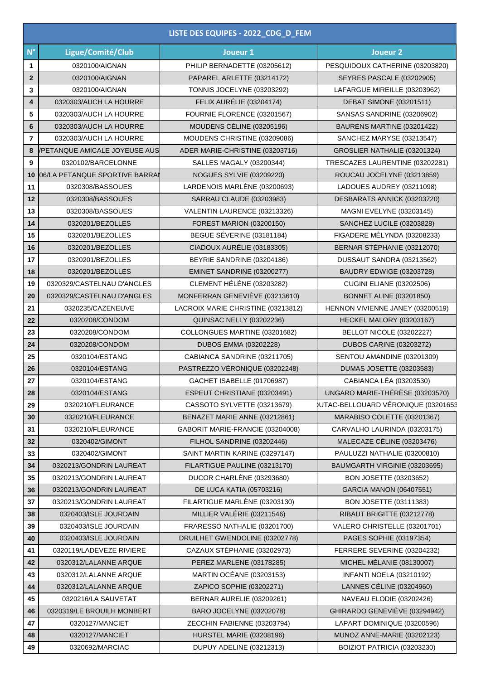| LISTE DES EQUIPES - 2022_CDG_D_FEM |                                |                                    |                                    |  |
|------------------------------------|--------------------------------|------------------------------------|------------------------------------|--|
| $N^{\circ}$                        | Ligue/Comité/Club              | Joueur 1                           | <b>Joueur 2</b>                    |  |
| 1                                  | 0320100/AIGNAN                 | PHILIP BERNADETTE (03205612)       | PESQUIDOUX CATHERINE (03203820)    |  |
| $\overline{2}$                     | 0320100/AIGNAN                 | PAPAREL ARLETTE (03214172)         | SEYRES PASCALE (03202905)          |  |
| 3                                  | 0320100/AIGNAN                 | TONNIS JOCELYNE (03203292)         | LAFARGUE MIREILLE (03203962)       |  |
| 4                                  | 0320303/AUCH LA HOURRE         | FELIX AURÉLIE (03204174)           | <b>DEBAT SIMONE (03201511)</b>     |  |
| 5                                  | 0320303/AUCH LA HOURRE         | FOURNIE FLORENCE (03201567)        | SANSAS SANDRINE (03206902)         |  |
| 6                                  | 0320303/AUCH LA HOURRE         | MOUDENS CÉLINE (03205196)          | BAURENS MARTINE (03201422)         |  |
| $\overline{7}$                     | 0320303/AUCH LA HOURRE         | MOUDENS CHRISTINE (03209086)       | SANCHEZ MARYSE (03213547)          |  |
| 8                                  | /PETANQUE AMICALE JOYEUSE AUS  | ADER MARIE-CHRISTINE (03203716)    | GROSLIER NATHALIE (03201324)       |  |
| 9                                  | 0320102/BARCELONNE             | SALLES MAGALY (03200344)           | TRESCAZES LAURENTINE (03202281)    |  |
| 10                                 | 06/LA PETANQUE SPORTIVE BARRAI | NOGUES SYLVIE (03209220)           | ROUCAU JOCELYNE (03213859)         |  |
| 11                                 | 0320308/BASSOUES               | LARDENOIS MARLÈNE (03200693)       | LADOUES AUDREY (03211098)          |  |
| 12                                 | 0320308/BASSOUES               | SARRAU CLAUDE (03203983)           | DESBARATS ANNICK (03203720)        |  |
| 13                                 | 0320308/BASSOUES               | VALENTIN LAURENCE (03213326)       | MAGNI EVELYNE (03203145)           |  |
| 14                                 | 0320201/BEZOLLES               | <b>FOREST MARION (03200150)</b>    | SANCHEZ LUCILE (03203828)          |  |
| 15                                 | 0320201/BEZOLLES               | BEGUE SÉVERINE (03181184)          | FIGADERE MÉLYNDA (03208233)        |  |
| 16                                 | 0320201/BEZOLLES               | CIADOUX AURÉLIE (03183305)         | BERNAR STÉPHANIE (03212070)        |  |
| 17                                 | 0320201/BEZOLLES               | BEYRIE SANDRINE (03204186)         | DUSSAUT SANDRA (03213562)          |  |
| 18                                 | 0320201/BEZOLLES               | EMINET SANDRINE (03200277)         | BAUDRY EDWIGE (03203728)           |  |
| 19                                 | 0320329/CASTELNAU D'ANGLES     | CLEMENT HÉLÉNE (03203282)          | <b>CUGINI ELIANE (03202506)</b>    |  |
| 20                                 | 0320329/CASTELNAU D'ANGLES     | MONFERRAN GENEVIÈVE (03213610)     | <b>BONNET ALINE (03201850)</b>     |  |
| 21                                 | 0320235/CAZENEUVE              | LACROIX MARIE CHRISTINE (03213812) | HENNON VIVIENNE JANEY (03200519)   |  |
| 22                                 | 0320208/CONDOM                 | <b>QUINSAC NELLY (03202236)</b>    | HECKEL MALORY (03203167)           |  |
| 23                                 | 0320208/CONDOM                 | COLLONGUES MARTINE (03201682)      | BELLOT NICOLE (03202227)           |  |
| 24                                 | 0320208/CONDOM                 | <b>DUBOS EMMA (03202228)</b>       | <b>DUBOS CARINE (03203272)</b>     |  |
| 25                                 | 0320104/ESTANG                 | CABIANCA SANDRINE (03211705)       | SENTOU AMANDINE (03201309)         |  |
| 26                                 | 0320104/ESTANG                 | PASTREZZO VÉRONIQUE (03202248)     | <b>DUMAS JOSETTE (03203583)</b>    |  |
| 27                                 | 0320104/ESTANG                 | GACHET ISABELLE (01706987)         | CABIANCA LÉA (03203530)            |  |
| 28                                 | 0320104/ESTANG                 | ESPEUT CHRISTIANE (03203491)       | UNGARO MARIE-THÉRÈSE (03203570)    |  |
| 29                                 | 0320210/FLEURANCE              | CASSOTO SYLVETTE (03213679)        | UTAC-BELLOUARD VÉRONIQUE (03201653 |  |
| 30                                 | 0320210/FLEURANCE              | BENAZET MARIE ANNE (03212861)      | MARABISO COLETTE (03201367)        |  |
| 31                                 | 0320210/FLEURANCE              | GABORIT MARIE-FRANCIE (03204008)   | CARVALHO LAURINDA (03203175)       |  |
| 32                                 | 0320402/GIMONT                 | FILHOL SANDRINE (03202446)         | MALECAZE CÉLINE (03203476)         |  |
| 33                                 | 0320402/GIMONT                 | SAINT MARTIN KARINE (03297147)     | PAULUZZI NATHALIE (03200810)       |  |
| 34                                 | 0320213/GONDRIN LAUREAT        | FILARTIGUE PAULINE (03213170)      | BAUMGARTH VIRGINIE (03203695)      |  |
| 35                                 | 0320213/GONDRIN LAUREAT        | DUCOR CHARLÈNE (03293680)          | BON JOSETTE (03203652)             |  |
| 36                                 | 0320213/GONDRIN LAUREAT        | <b>DE LUCA KATIA (05703216)</b>    | GARCIA MANON (06407551)            |  |
| 37                                 | 0320213/GONDRIN LAUREAT        | FILARTIGUE MARLÈNE (03203130)      | BON JOSETTE (03111383)             |  |
| 38                                 | 0320403/ISLE JOURDAIN          | MILLIER VALÉRIE (03211546)         | RIBAUT BRIGITTE (03212778)         |  |
| 39                                 | 0320403/ISLE JOURDAIN          | FRARESSO NATHALIE (03201700)       | VALERO CHRISTELLE (03201701)       |  |
| 40                                 | 0320403/ISLE JOURDAIN          | DRUILHET GWENDOLINE (03202778)     | PAGES SOPHIE (03197354)            |  |
| 41                                 | 0320119/LADEVEZE RIVIERE       | CAZAUX STÉPHANIE (03202973)        | FERRERE SEVERINE (03204232)        |  |
| 42                                 | 0320312/LALANNE ARQUE          | PEREZ MARLENE (03178285)           | MICHEL MÉLANIE (08130007)          |  |
| 43                                 | 0320312/LALANNE ARQUE          | <b>MARTIN OCÉANE (03203153)</b>    | <b>INFANTI NOELA (03210192)</b>    |  |
| 44                                 | 0320312/LALANNE ARQUE          | ZAPICO SOPHIE (03202271)           | LANNES CÉLINE (03204960)           |  |
| 45                                 | 0320216/LA SAUVETAT            | BERNAR AURELIE (03209261)          | NAVEAU ELODIE (03202426)           |  |
| 46                                 | 0320319/LE BROUILH MONBERT     | BARO JOCELYNE (03202078)           | GHIRARDO GENEVIEVE (03294942)      |  |
| 47                                 | 0320127/MANCIET                | ZECCHIN FABIENNE (03203794)        | LAPART DOMINIQUE (03200596)        |  |
| 48                                 | 0320127/MANCIET                | HURSTEL MARIE (03208196)           | MUNOZ ANNE-MARIE (03202123)        |  |
| 49                                 | 0320692/MARCIAC                | DUPUY ADELINE (03212313)           | BOIZIOT PATRICIA (03203230)        |  |